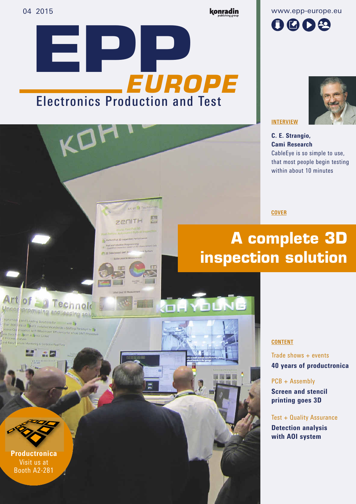Electronics Production and Test

Art of D Technology

**ZENITH** 

原则

**EUROPE**

#### konradin

www.epp-europe.eu





**INTERVIEW**

C. E. Strangio, Cami Research CableEye is so simple to use, that most people begin testing within about 10 minutes

**COVER**

# **A complete 3D inspection solution**

YOUNE

Trade shows  $+$  events 40 years of productronica

PCB + Assembly

**CONTENT**

Screen and stencil printing goes 3D

#### Test + Quality Assurance

Detection analysis with AOI system

**Productronica** Visit us at Booth A2-281

Art of **Fig. Technold** 

han 800 rets of a pAOI installed Worldwide - Shifting Pan<br>Cess Openball and a pAOI installed Worldwide - Shifting Pan es Op mization with Maximized Efficiency for whole SMT Pro-<br>Data film 218PM 31 Anti-lead Efficiency for whole SMT Pro-

in E18PLA D'AOI Linke

promising and leading solu dutions for Lincol with 59

ligm to Fig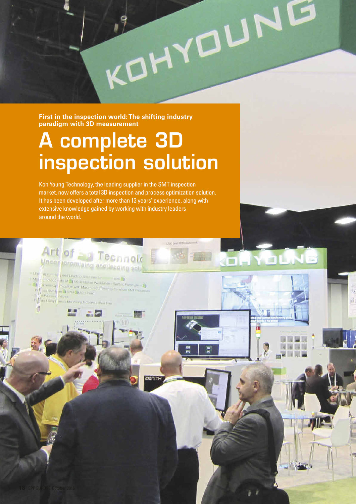**First in the inspection world: The shifting industry paradigm with 3D measurement**

# A complete 3D inspection solution

KOHYOUNG

Koh Young Technology, the leading supplier in the SMT inspection market, now offers a total 3D inspection and process optimization solution. It has been developed after more than 13 years' experience, along with extensive knowledge gained by working with industry leaders around the world.

Art of **SAN Technold** 

(from 800 ii [4] of English Entance Worldwide Company of English Company of English Company of English Company of English Company of English Company of English Company of English Company of English Company of English Compa

ocious Operation with Maximum Worldwine Tomographically

**Nikomitis Land Litadion by Home form** 

 $CD$   $\left| \frac{1}{2} \right|$  Data  $\frac{1}{2}$  or  $\frac{1}{2}$  or  $\frac{1}{2}$  AGI United inary. Figure Line Lance Montang & Containing Terr **Post Level 30 Miles** 

OHYDUNG

 $-$  Line

Mill

۳'n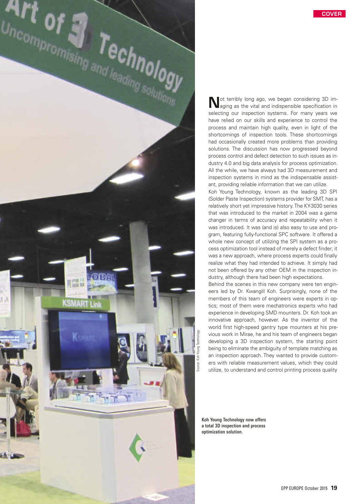



ot terribly long ago, we began considering 3D imaging as the vital and indispensible specification in selecting our inspection systems. For many years we have relied on our skills and experience to control the process and maintain high quality, even in light of the shortcomings of inspection tools. These shortcomings had occasionally created more problems than providing solutions. The discussion has now progressed beyond process control and defect detection to such issues as industry 4.0 and big data analysis for process optimization. All the while, we have always had 3D measurement and inspection systems in mind as the indispensable assistant, providing reliable information that we can utilize.

Koh Young Technology, known as the leading 3D SPI (Solder Paste Inspection) systems provider for SMT, has a relatively short yet impressive history. The KY-3030 series that was introduced to the market in 2004 was a game changer in terms of accuracy and repeatability when it was introduced. It was (and is) also easy to use and program, featuring fully-functional SPC software. It offered a whole new concept of utilizing the SPI system as a process optimization tool instead of merely a defect finder; it was a new approach, where process experts could finally realize what they had intended to achieve. It simply had not been offered by any other OEM in the inspection industry, although there had been high expectations.

Behind the scenes in this new company were ten engineers led by Dr. Kwangill Koh. Surprisingly, none of the members of this team of engineers were experts in optics; most of them were mechatronics experts who had experience in developing SMD mounters. Dr. Koh took an innovative approach, however. As the inventor of the world first high-speed gantry type mounters at his previous work in Mirae, he and his team of engineers began developing a 3D inspection system, the starting point being to eliminate the ambiguity of template matching as an inspection approach. They wanted to provide customers with reliable measurement values, which they could utilize, to understand and control printing process quality

Koh Young Technology now offers a total 3D inspection and process optimization solution.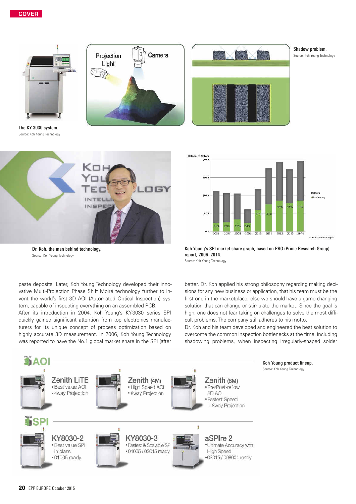

The KY-3030 system. Source: Koh Young Technology





#### Shadow problem.

Source: Koh Young Technology



Dr. Koh, the man behind technology. Source: Koh Young Technology

paste deposits. Later, Koh Young Technology developed their innovative Multi-Projection Phase Shift Moiré technology further to invent the world's first 3D AOI (Automated Optical Inspection) system, capable of inspecting everything on an assembled PCB.

After its introduction in 2004, Koh Young's KY-3030 series SPI quickly gained significant attention from top electronics manufacturers for its unique concept of process optimization based on highly accurate 3D measurement. In 2006, Koh Young Technology was reported to have the No.1 global market share in the SPI (after



Koh Young's SPI market share graph, based on PRG (Prime Research Group) report, 2006–2014.

Source: Koh Young Technology

better. Dr. Koh applied his strong philosophy regarding making decisions for any new business or application, that his team must be the first one in the marketplace; else we should have a game-changing solution that can change or stimulate the market. Since the goal is high, one does not fear taking on challenges to solve the most difficult problems. The company still adheres to his motto.

Dr. Koh and his team developed and engineered the best solution to overcome the common inspection bottlenecks at the time, including shadowing problems, when inspecting irregularly-shaped solder

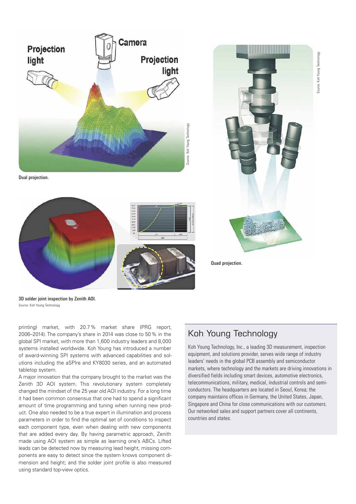Jource: Koh Young Technology Source: Koh Young Technology



Dual projection.





Quad projection.

3D solder joint inspection by Zenith AOI. Source: Koh Young Technology

printing) market, with 20.7 % market share (PRG report, 2006–2014). The company's share in 2014 was close to 50 % in the global SPI market, with more than 1,600 industry leaders and 8,000 systems installed worldwide. Koh Young has introduced a number of award-winning SPI systems with advanced capabilities and solutions including the aSPIre and KY8030 series, and an automated tabletop system.

A major innovation that the company brought to the market was the Zenith 3D AOI system. This revolutionary system completely changed the mindset of the 25 year old AOI industry. For a long time it had been common consensus that one had to spend a significant amount of time programming and tuning when running new product. One also needed to be a true expert in illumination and process parameters in order to find the optimal set of conditions to inspect each component type, even when dealing with new components that are added every day. By having parametric approach, Zenith made using AOI system as simple as learning one's ABCs. Lifted leads can be detected now by measuring lead height, missing components are easy to detect since the system knows component dimension and height; and the solder joint profile is also measured using standard top-view optics.

## Koh Young Technology

Koh Young Technology, Inc., a leading 3D measurement, inspection equipment, and solutions provider, serves wide range of industry leaders' needs in the global PCB assembly and semiconductor markets, where technology and the markets are driving innovations in diversified fields including smart devices, automotive electronics, telecommunications, military, medical, industrial controls and semiconductors. The headquarters are located in Seoul, Korea; the company maintains offices in Germany, the United States, Japan, Singapore and China for close communications with our customers. Our networked sales and support partners cover all continents, countries and states.